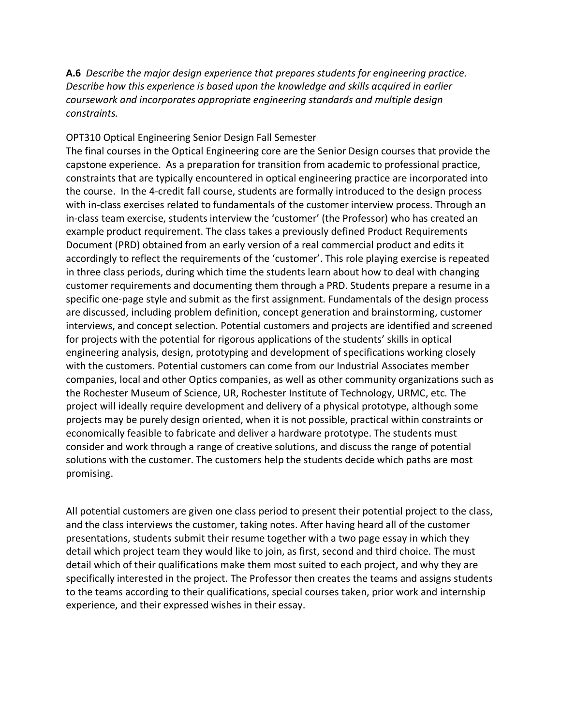## **A.6** *Describe the major design experience that prepares students for engineering practice. Describe how this experience is based upon the knowledge and skills acquired in earlier coursework and incorporates appropriate engineering standards and multiple design constraints.*

## OPT310 Optical Engineering Senior Design Fall Semester

The final courses in the Optical Engineering core are the Senior Design courses that provide the capstone experience. As a preparation for transition from academic to professional practice, constraints that are typically encountered in optical engineering practice are incorporated into the course. In the 4-credit fall course, students are formally introduced to the design process with in-class exercises related to fundamentals of the customer interview process. Through an in-class team exercise, students interview the 'customer' (the Professor) who has created an example product requirement. The class takes a previously defined Product Requirements Document (PRD) obtained from an early version of a real commercial product and edits it accordingly to reflect the requirements of the 'customer'. This role playing exercise is repeated in three class periods, during which time the students learn about how to deal with changing customer requirements and documenting them through a PRD. Students prepare a resume in a specific one-page style and submit as the first assignment. Fundamentals of the design process are discussed, including problem definition, concept generation and brainstorming, customer interviews, and concept selection. Potential customers and projects are identified and screened for projects with the potential for rigorous applications of the students' skills in optical engineering analysis, design, prototyping and development of specifications working closely with the customers. Potential customers can come from our Industrial Associates member companies, local and other Optics companies, as well as other community organizations such as the Rochester Museum of Science, UR, Rochester Institute of Technology, URMC, etc. The project will ideally require development and delivery of a physical prototype, although some projects may be purely design oriented, when it is not possible, practical within constraints or economically feasible to fabricate and deliver a hardware prototype. The students must consider and work through a range of creative solutions, and discuss the range of potential solutions with the customer. The customers help the students decide which paths are most promising.

All potential customers are given one class period to present their potential project to the class, and the class interviews the customer, taking notes. After having heard all of the customer presentations, students submit their resume together with a two page essay in which they detail which project team they would like to join, as first, second and third choice. The must detail which of their qualifications make them most suited to each project, and why they are specifically interested in the project. The Professor then creates the teams and assigns students to the teams according to their qualifications, special courses taken, prior work and internship experience, and their expressed wishes in their essay.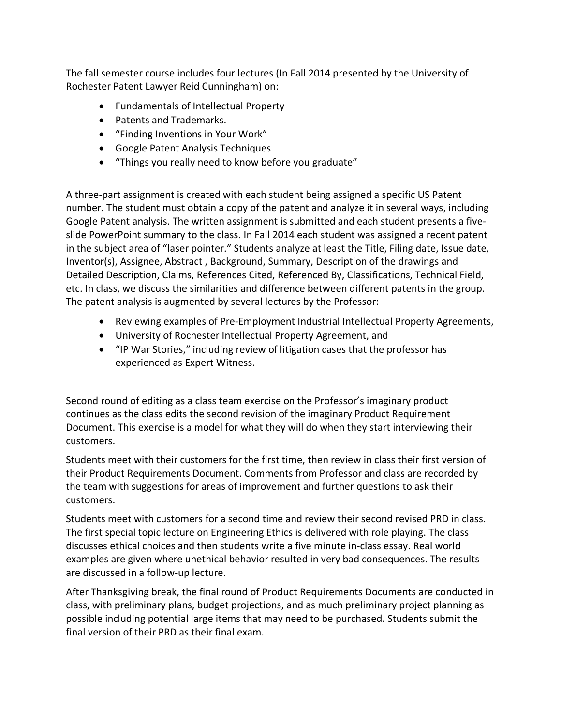The fall semester course includes four lectures (In Fall 2014 presented by the University of Rochester Patent Lawyer Reid Cunningham) on:

- Fundamentals of Intellectual Property
- Patents and Trademarks.
- "Finding Inventions in Your Work"
- Google Patent Analysis Techniques
- "Things you really need to know before you graduate"

A three-part assignment is created with each student being assigned a specific US Patent number. The student must obtain a copy of the patent and analyze it in several ways, including Google Patent analysis. The written assignment is submitted and each student presents a fiveslide PowerPoint summary to the class. In Fall 2014 each student was assigned a recent patent in the subject area of "laser pointer." Students analyze at least the Title, Filing date, Issue date, Inventor(s), Assignee, Abstract , Background, Summary, Description of the drawings and Detailed Description, Claims, References Cited, Referenced By, Classifications, Technical Field, etc. In class, we discuss the similarities and difference between different patents in the group. The patent analysis is augmented by several lectures by the Professor:

- Reviewing examples of Pre-Employment Industrial Intellectual Property Agreements,
- University of Rochester Intellectual Property Agreement, and
- "IP War Stories," including review of litigation cases that the professor has experienced as Expert Witness.

Second round of editing as a class team exercise on the Professor's imaginary product continues as the class edits the second revision of the imaginary Product Requirement Document. This exercise is a model for what they will do when they start interviewing their customers.

Students meet with their customers for the first time, then review in class their first version of their Product Requirements Document. Comments from Professor and class are recorded by the team with suggestions for areas of improvement and further questions to ask their customers.

Students meet with customers for a second time and review their second revised PRD in class. The first special topic lecture on Engineering Ethics is delivered with role playing. The class discusses ethical choices and then students write a five minute in-class essay. Real world examples are given where unethical behavior resulted in very bad consequences. The results are discussed in a follow-up lecture.

After Thanksgiving break, the final round of Product Requirements Documents are conducted in class, with preliminary plans, budget projections, and as much preliminary project planning as possible including potential large items that may need to be purchased. Students submit the final version of their PRD as their final exam.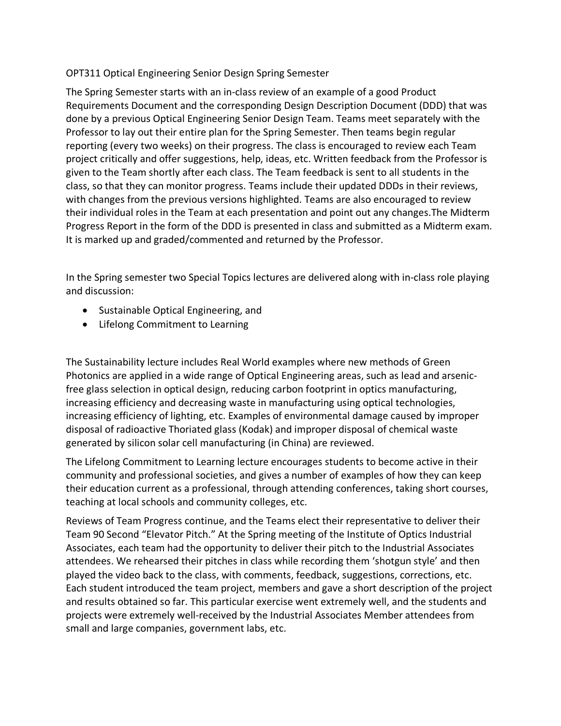## OPT311 Optical Engineering Senior Design Spring Semester

The Spring Semester starts with an in-class review of an example of a good Product Requirements Document and the corresponding Design Description Document (DDD) that was done by a previous Optical Engineering Senior Design Team. Teams meet separately with the Professor to lay out their entire plan for the Spring Semester. Then teams begin regular reporting (every two weeks) on their progress. The class is encouraged to review each Team project critically and offer suggestions, help, ideas, etc. Written feedback from the Professor is given to the Team shortly after each class. The Team feedback is sent to all students in the class, so that they can monitor progress. Teams include their updated DDDs in their reviews, with changes from the previous versions highlighted. Teams are also encouraged to review their individual roles in the Team at each presentation and point out any changes.The Midterm Progress Report in the form of the DDD is presented in class and submitted as a Midterm exam. It is marked up and graded/commented and returned by the Professor.

In the Spring semester two Special Topics lectures are delivered along with in-class role playing and discussion:

- Sustainable Optical Engineering, and
- Lifelong Commitment to Learning

The Sustainability lecture includes Real World examples where new methods of Green Photonics are applied in a wide range of Optical Engineering areas, such as lead and arsenicfree glass selection in optical design, reducing carbon footprint in optics manufacturing, increasing efficiency and decreasing waste in manufacturing using optical technologies, increasing efficiency of lighting, etc. Examples of environmental damage caused by improper disposal of radioactive Thoriated glass (Kodak) and improper disposal of chemical waste generated by silicon solar cell manufacturing (in China) are reviewed.

The Lifelong Commitment to Learning lecture encourages students to become active in their community and professional societies, and gives a number of examples of how they can keep their education current as a professional, through attending conferences, taking short courses, teaching at local schools and community colleges, etc.

Reviews of Team Progress continue, and the Teams elect their representative to deliver their Team 90 Second "Elevator Pitch." At the Spring meeting of the Institute of Optics Industrial Associates, each team had the opportunity to deliver their pitch to the Industrial Associates attendees. We rehearsed their pitches in class while recording them 'shotgun style' and then played the video back to the class, with comments, feedback, suggestions, corrections, etc. Each student introduced the team project, members and gave a short description of the project and results obtained so far. This particular exercise went extremely well, and the students and projects were extremely well-received by the Industrial Associates Member attendees from small and large companies, government labs, etc.